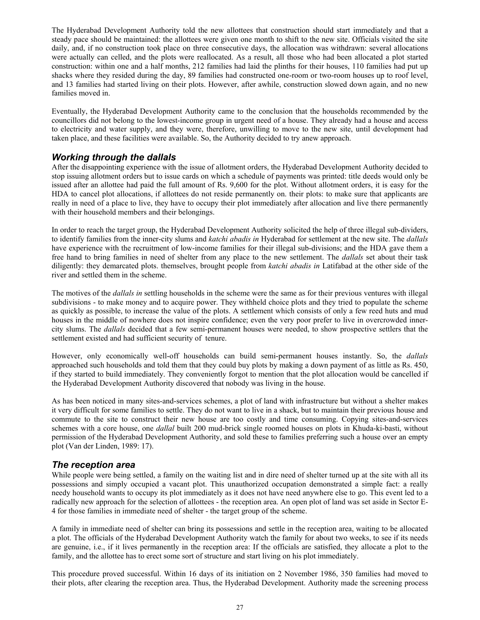The Hyderabad Development Authority told the new allottees that construction should start immediately and that a steady pace should be maintained: the allottees were given one month to shift to the new site. Officials visited the site daily, and, if no construction took place on three consecutive days, the allocation was withdrawn: several allocations were actually can celled, and the plots were reallocated. As a result, all those who had been allocated a plot started construction: within one and a half months, 212 families had laid the plinths for their houses, 110 families had put up shacks where they resided during the day, 89 families had constructed one-room or two-room houses up to roof level, and 13 families had started living on their plots. However, after awhile, construction slowed down again, and no new families moved in.

Eventually, the Hyderabad Development Authority came to the conclusion that the households recommended by the councillors did not belong to the lowest-income group in urgent need of a house. They already had a house and access to electricity and water supply, and they were, therefore, unwilling to move to the new site, until development had taken place, and these facilities were available. So, the Authority decided to try anew approach.

## *Working through the dallals*

After the disappointing experience with the issue of allotment orders, the Hyderabad Development Authority decided to stop issuing allotment orders but to issue cards on which a schedule of payments was printed: title deeds would only be issued after an allottee had paid the full amount of Rs. 9,600 for the plot. Without allotment orders, it is easy for the HDA to cancel plot allocations, if allottees do not reside permanently on. their plots: to make sure that applicants are really in need of a place to live, they have to occupy their plot immediately after allocation and live there permanently with their household members and their belongings.

In order to reach the target group, the Hyderabad Development Authority solicited the help of three illegal sub-dividers, to identify families from the inner-city slums and *katchi abadis in* Hyderabad for settlement at the new site. The *dallals* have experience with the recruitment of low-income families for their illegal sub-divisions; and the HDA gave them a free hand to bring families in need of shelter from any place to the new settlement. The *dallals* set about their task diligently: they demarcated plots. themselves, brought people from *katchi abadis in* Latifabad at the other side of the river and settled them in the scheme.

The motives of the *dallals in* settling households in the scheme were the same as for their previous ventures with illegal subdivisions - to make money and to acquire power. They withheld choice plots and they tried to populate the scheme as quickly as possible, to increase the value of the plots. A settlement which consists of only a few reed huts and mud houses in the middle of nowhere does not inspire confidence; even the very poor prefer to live in overcrowded innercity slums. The *dallals* decided that a few semi-permanent houses were needed, to show prospective settlers that the settlement existed and had sufficient security of tenure.

However, only economically well-off households can build semi-permanent houses instantly. So, the *dallals* approached such households and told them that they could buy plots by making a down payment of as little as Rs. 450, if they started to build immediately. They conveniently forgot to mention that the plot allocation would be cancelled if the Hyderabad Development Authority discovered that nobody was living in the house.

As has been noticed in many sites-and-services schemes, a plot of land with infrastructure but without a shelter makes it very difficult for some families to settle. They do not want to live in a shack, but to maintain their previous house and commute to the site to construct their new house are too costly and time consuming. Copying sites-and-services schemes with a core house, one *dallal* built 200 mud-brick single roomed houses on plots in Khuda-ki-basti, without permission of the Hyderabad Development Authority, and sold these to families preferring such a house over an empty plot (Van der Linden, 1989: 17).

### *The reception area*

While people were being settled, a family on the waiting list and in dire need of shelter turned up at the site with all its possessions and simply occupied a vacant plot. This unauthorized occupation demonstrated a simple fact: a really needy household wants to occupy its plot immediately as it does not have need anywhere else to go. This event led to a radically new approach for the selection of allottees - the reception area. An open plot of land was set aside in Sector E-4 for those families in immediate need of shelter - the target group of the scheme.

A family in immediate need of shelter can bring its possessions and settle in the reception area, waiting to be allocated a plot. The officials of the Hyderabad Development Authority watch the family for about two weeks, to see if its needs are genuine, i.e., if it lives permanently in the reception area: If the officials are satisfied, they allocate a plot to the family, and the allottee has to erect some sort of structure and start living on his plot immediately.

This procedure proved successful. Within 16 days of its initiation on 2 November 1986, 350 families had moved to their plots, after clearing the reception area. Thus, the Hyderabad Development. Authority made the screening process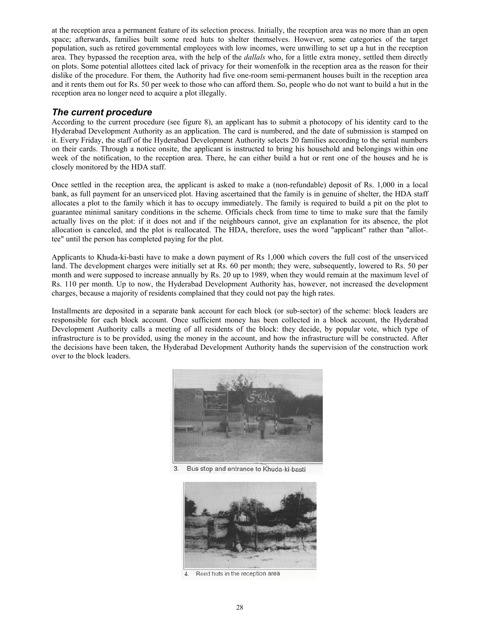at the reception area a permanent feature of its selection process. Initially, the reception area was no more than an open space; afterwards, families built some reed huts to shelter themselves. However, some categories of the target population, such as retired governmental employees with low incomes, were unwilling to set up a hut in the reception area. They bypassed the reception area, with the help of the *dallals* who, for a little extra money, settled them directly on plots. Some potential allottees cited lack of privacy for their womenfolk in the reception area as the reason for their dislike of the procedure. For them, the Authority had five one-room semi-permanent houses built in the reception area and it rents them out for Rs. 50 per week to those who can afford them. So, people who do not want to build a hut in the reception area no longer need to acquire a plot illegally.

#### *The current procedure*

According to the current procedure (see figure 8), an applicant has to submit a photocopy of his identity card to the Hyderabad Development Authority as an application. The card is numbered, and the date of submission is stamped on it. Every Friday, the staff of the Hyderabad Development Authority selects 20 families according to the serial numbers on their cards. Through a notice onsite, the applicant is instructed to bring his household and belongings within one week of the notification, to the reception area. There, he can either build a hut or rent one of the houses and he is closely monitored by the HDA staff.

Once settled in the reception area, the applicant is asked to make a (non-refundable) deposit of Rs. 1,000 in a local bank, as full payment for an unserviced plot. Having ascertained that the family is in genuine of shelter, the HDA staff allocates a plot to the family which it has to occupy immediately. The family is required to build a pit on the plot to guarantee minimal sanitary conditions in the scheme. Officials check from time to time to make sure that the family actually lives on the plot: if it does not and if the neighbours cannot, give an explanation for its absence, the plot allocation is canceled, and the plot is reallocated. The HDA, therefore, uses the word "applicant" rather than "allot-. tee" until the person has completed paying for the plot.

Applicants to Khuda-ki-basti have to make a down payment of Rs 1,000 which covers the full cost of the unserviced land. The development charges were initially set at Rs. 60 per month; they were, subsequently, lowered to Rs. 50 per month and were supposed to increase annually by Rs. 20 up to 1989, when they would remain at the maximum level of Rs. 110 per month. Up to now, the Hyderabad Development Authority has, however, not increased the development charges, because a majority of residents complained that they could not pay the high rates.

Installments are deposited in a separate bank account for each block (or sub-sector) of the scheme: block leaders are responsible for each block account. Once sufficient money has been collected in a block account, the Hyderabad Development Authority calls a meeting of all residents of the block: they decide, by popular vote, which type of infrastructure is to be provided, using the money in the account, and how the infrastructure will be constructed. After the decisions have been taken, the Hyderabad Development Authority hands the supervision of the construction work over to the block leaders.



3. Bus stop and entrance to Khuda-ki-basti



4. Reed huts in the reception area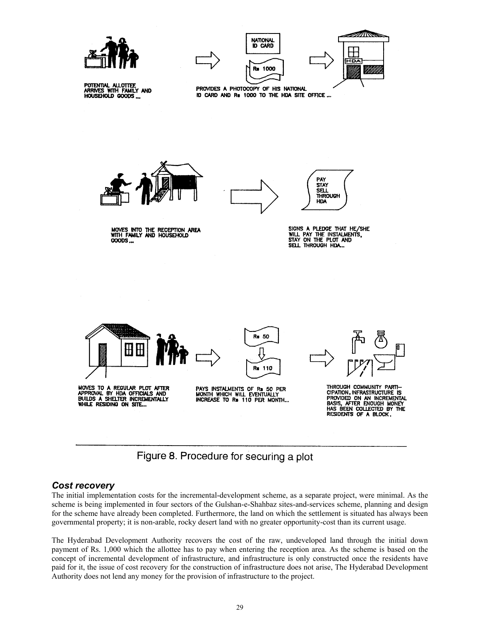

POTENTIAL ALLOTTEE<br>ARRIVES WITH FAMILY AND<br>HOUSEHOLD GOODS ...

 $\mathscr{A}$  in  $\mathscr{A}$ NATIONAL **ID CARD** 1000 Rs

PROVIDES A PHOTOCOPY OF HIS NATIONAL ID CARD AND Rs 1000 TO THE HDA SITE OFFICE ...







MOVES INTO THE RECEPTION AREA<br>WITH FAMILY AND HOUSEHOLD **COODS...** 



SIGNS A PLEDGE THAT HE/SHE<br>WILL PAY THE INSTALMENTS,<br>STAY ON THE PLOT AND SELL THROUGH HDA.

**SELL THROUGH HDA** 



Figure 8. Procedure for securing a plot

### *Cost recovery*

The initial implementation costs for the incremental-development scheme, as a separate project, were minimal. As the scheme is being implemented in four sectors of the Gulshan-e-Shahbaz sites-and-services scheme, planning and design for the scheme have already been completed. Furthermore, the land on which the settlement is situated has always been governmental property; it is non-arable, rocky desert land with no greater opportunity-cost than its current usage.

The Hyderabad Development Authority recovers the cost of the raw, undeveloped land through the initial down payment of Rs. 1,000 which the allottee has to pay when entering the reception area. As the scheme is based on the concept of incremental development of infrastructure, and infrastructure is only constructed once the residents have paid for it, the issue of cost recovery for the construction of infrastructure does not arise, The Hyderabad Development Authority does not lend any money for the provision of infrastructure to the project.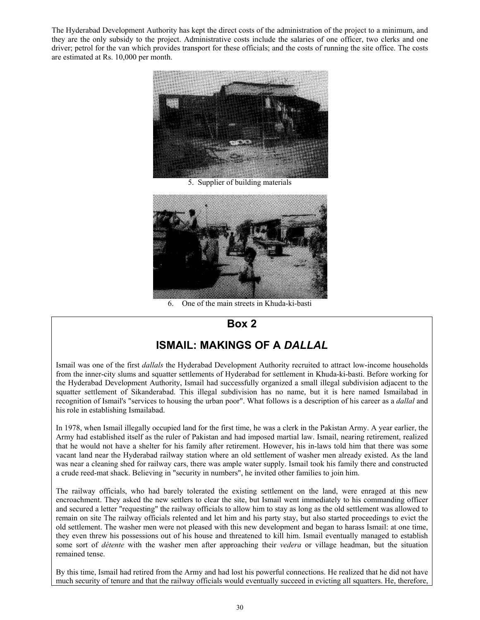The Hyderabad Development Authority has kept the direct costs of the administration of the project to a minimum, and they are the only subsidy to the project. Administrative costs include the salaries of one officer, two clerks and one driver; petrol for the van which provides transport for these officials; and the costs of running the site office. The costs are estimated at Rs. 10,000 per month.



5. Supplier of building materials



6. One of the main streets in Khuda-ki-basti

# **Box 2**

# **ISMAIL: MAKINGS OF A** *DALLAL*

Ismail was one of the first *dallals* the Hyderabad Development Authority recruited to attract low-income households from the inner-city slums and squatter settlements of Hyderabad for settlement in Khuda-ki-basti. Before working for the Hyderabad Development Authority, Ismail had successfully organized a small illegal subdivision adjacent to the squatter settlement of Sikanderabad. This illegal subdivision has no name, but it is here named Ismailabad in recognition of Ismail's "services to housing the urban poor". What follows is a description of his career as a *dallal* and his role in establishing Ismailabad.

In 1978, when Ismail illegally occupied land for the first time, he was a clerk in the Pakistan Army. A year earlier, the Army had established itself as the ruler of Pakistan and had imposed martial law. Ismail, nearing retirement, realized that he would not have a shelter for his family after retirement. However, his in-laws told him that there was some vacant land near the Hyderabad railway station where an old settlement of washer men already existed. As the land was near a cleaning shed for railway cars, there was ample water supply. Ismail took his family there and constructed a crude reed-mat shack. Believing in "security in numbers", he invited other families to join him.

The railway officials, who had barely tolerated the existing settlement on the land, were enraged at this new encroachment. They asked the new settlers to clear the site, but Ismail went immediately to his commanding officer and secured a letter "requesting" the railway officials to allow him to stay as long as the old settlement was allowed to remain on site The railway officials relented and let him and his party stay, but also started proceedings to evict the old settlement. The washer men were not pleased with this new development and began to harass Ismail: at one time, they even threw his possessions out of his house and threatened to kill him. Ismail eventually managed to establish some sort of *détente* with the washer men after approaching their *vedera* or village headman, but the situation remained tense.

By this time, Ismail had retired from the Army and had lost his powerful connections. He realized that he did not have much security of tenure and that the railway officials would eventually succeed in evicting all squatters. He, therefore,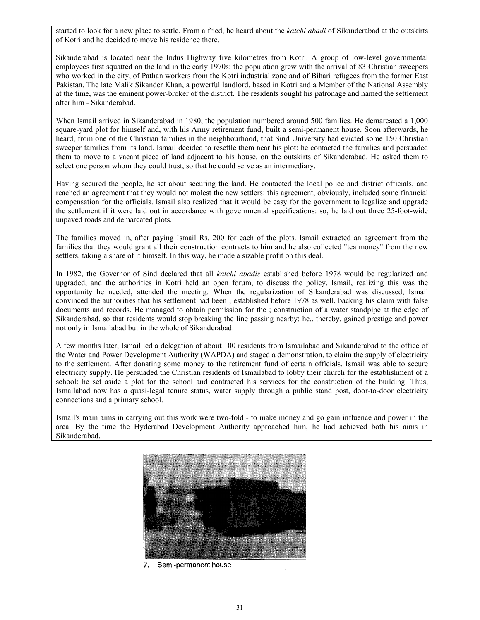started to look for a new place to settle. From a fried, he heard about the *katchi abadi* of Sikanderabad at the outskirts of Kotri and he decided to move his residence there.

Sikanderabad is located near the Indus Highway five kilometres from Kotri. A group of low-level governmental employees first squatted on the land in the early 1970s: the population grew with the arrival of 83 Christian sweepers who worked in the city, of Pathan workers from the Kotri industrial zone and of Bihari refugees from the former East Pakistan. The late Malik Sikander Khan, a powerful landlord, based in Kotri and a Member of the National Assembly at the time, was the eminent power-broker of the district. The residents sought his patronage and named the settlement after him - Sikanderabad.

When Ismail arrived in Sikanderabad in 1980, the population numbered around 500 families. He demarcated a 1,000 square-yard plot for himself and, with his Army retirement fund, built a semi-permanent house. Soon afterwards, he heard, from one of the Christian families in the neighbourhood, that Sind University had evicted some 150 Christian sweeper families from its land. Ismail decided to resettle them near his plot: he contacted the families and persuaded them to move to a vacant piece of land adjacent to his house, on the outskirts of Sikanderabad. He asked them to select one person whom they could trust, so that he could serve as an intermediary.

Having secured the people, he set about securing the land. He contacted the local police and district officials, and reached an agreement that they would not molest the new settlers: this agreement, obviously, included some financial compensation for the officials. Ismail also realized that it would be easy for the government to legalize and upgrade the settlement if it were laid out in accordance with governmental specifications: so, he laid out three 25-foot-wide unpaved roads and demarcated plots.

The families moved in, after paying Ismail Rs. 200 for each of the plots. Ismail extracted an agreement from the families that they would grant all their construction contracts to him and he also collected "tea money" from the new settlers, taking a share of it himself. In this way, he made a sizable profit on this deal.

In 1982, the Governor of Sind declared that all *katchi abadis* established before 1978 would be regularized and upgraded, and the authorities in Kotri held an open forum, to discuss the policy. Ismail, realizing this was the opportunity he needed, attended the meeting. When the regularization of Sikanderabad was discussed, Ismail convinced the authorities that his settlement had been ; established before 1978 as well, backing his claim with false documents and records. He managed to obtain permission for the ; construction of a water standpipe at the edge of Sikanderabad, so that residents would stop breaking the line passing nearby: he,, thereby, gained prestige and power not only in Ismailabad but in the whole of Sikanderabad.

A few months later, Ismail led a delegation of about 100 residents from Ismailabad and Sikanderabad to the office of the Water and Power Development Authority (WAPDA) and staged a demonstration, to claim the supply of electricity to the settlement. After donating some money to the retirement fund of certain officials, Ismail was able to secure electricity supply. He persuaded the Christian residents of Ismailabad to lobby their church for the establishment of a school: he set aside a plot for the school and contracted his services for the construction of the building. Thus, Ismailabad now has a quasi-legal tenure status, water supply through a public stand post, door-to-door electricity connections and a primary school.

Ismail's main aims in carrying out this work were two-fold - to make money and go gain influence and power in the area. By the time the Hyderabad Development Authority approached him, he had achieved both his aims in Sikanderabad.



Semi-permanent house 7.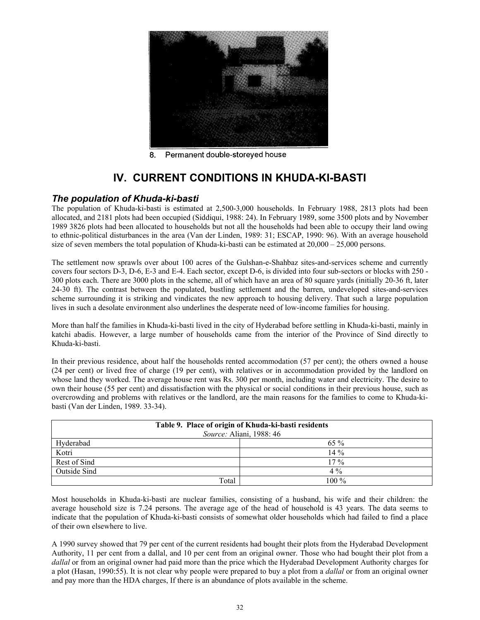

Permanent double-storeyed house 8.

# **IV. CURRENT CONDITIONS IN KHUDA-KI-BASTI**

### *The population of Khuda-ki-basti*

The population of Khuda-ki-basti is estimated at 2,500-3,000 households. In February 1988, 2813 plots had been allocated, and 2181 plots had been occupied (Siddiqui, 1988: 24). In February 1989, some 3500 plots and by November 1989 3826 plots had been allocated to households but not all the households had been able to occupy their land owing to ethnic-political disturbances in the area (Van der Linden, 1989: 31; ESCAP, 1990: 96). With an average household size of seven members the total population of Khuda-ki-basti can be estimated at  $20,000 - 25,000$  persons.

The settlement now sprawls over about 100 acres of the Gulshan-e-Shahbaz sites-and-services scheme and currently covers four sectors D-3, D-6, E-3 and E-4. Each sector, except D-6, is divided into four sub-sectors or blocks with 250 - 300 plots each. There are 3000 plots in the scheme, all of which have an area of 80 square yards (initially 20-36 ft, later 24-30 ft). The contrast between the populated, bustling settlement and the barren, undeveloped sites-and-services scheme surrounding it is striking and vindicates the new approach to housing delivery. That such a large population lives in such a desolate environment also underlines the desperate need of low-income families for housing.

More than half the families in Khuda-ki-basti lived in the city of Hyderabad before settling in Khuda-ki-basti, mainly in katchi abadis. However, a large number of households came from the interior of the Province of Sind directly to Khuda-ki-basti.

In their previous residence, about half the households rented accommodation (57 per cent); the others owned a house (24 per cent) or lived free of charge (19 per cent), with relatives or in accommodation provided by the landlord on whose land they worked. The average house rent was Rs. 300 per month, including water and electricity. The desire to own their house (55 per cent) and dissatisfaction with the physical or social conditions in their previous house, such as overcrowding and problems with relatives or the landlord, are the main reasons for the families to come to Khuda-kibasti (Van der Linden, 1989. 33-34).

| Table 9. Place of origin of Khuda-ki-basti residents<br>Source: Aliani, 1988: 46 |         |  |  |
|----------------------------------------------------------------------------------|---------|--|--|
| Hyderabad                                                                        | $65\%$  |  |  |
| Kotri                                                                            | $14\%$  |  |  |
| Rest of Sind                                                                     | $17\%$  |  |  |
| Outside Sind                                                                     | $4\%$   |  |  |
| Total                                                                            | $100\%$ |  |  |

Most households in Khuda-ki-basti are nuclear families, consisting of a husband, his wife and their children: the average household size is 7.24 persons. The average age of the head of household is 43 years. The data seems to indicate that the population of Khuda-ki-basti consists of somewhat older households which had failed to find a place of their own elsewhere to live.

A 1990 survey showed that 79 per cent of the current residents had bought their plots from the Hyderabad Development Authority, 11 per cent from a dallal, and 10 per cent from an original owner. Those who had bought their plot from a *dallal* or from an original owner had paid more than the price which the Hyderabad Development Authority charges for a plot (Hasan, 1990:55). It is not clear why people were prepared to buy a plot from a *dallal* or from an original owner and pay more than the HDA charges, If there is an abundance of plots available in the scheme.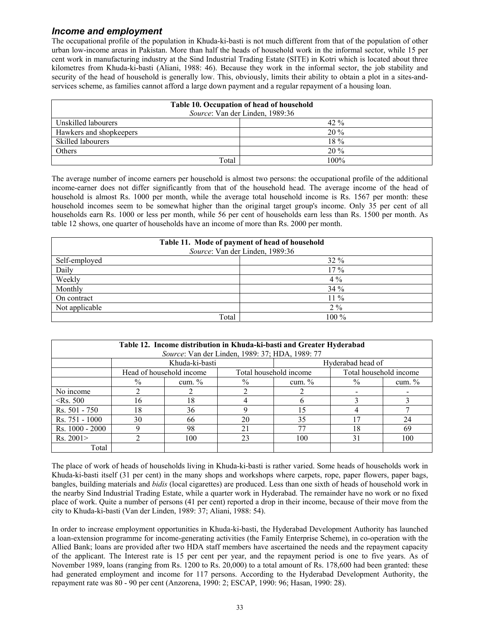### *Income and employment*

The occupational profile of the population in Khuda-ki-basti is not much different from that of the population of other urban low-income areas in Pakistan. More than half the heads of household work in the informal sector, while 15 per cent work in manufacturing industry at the Sind Industrial Trading Estate (SITE) in Kotri which is located about three kilometres from Khuda-ki-basti (Aliani, 1988: 46). Because they work in the informal sector, the job stability and security of the head of household is generally low. This, obviously, limits their ability to obtain a plot in a sites-andservices scheme, as families cannot afford a large down payment and a regular repayment of a housing loan.

| Table 10. Occupation of head of household<br>Source: Van der Linden, 1989:36 |         |  |  |  |
|------------------------------------------------------------------------------|---------|--|--|--|
| Unskilled labourers                                                          | $42\%$  |  |  |  |
| Hawkers and shopkeepers                                                      | $20\%$  |  |  |  |
| Skilled labourers                                                            | $18\%$  |  |  |  |
| Others                                                                       | $20\%$  |  |  |  |
| Total                                                                        | $100\%$ |  |  |  |

The average number of income earners per household is almost two persons: the occupational profile of the additional income-earner does not differ significantly from that of the household head. The average income of the head of household is almost Rs. 1000 per month, while the average total household income is Rs. 1567 per month: these household incomes seem to be somewhat higher than the original target group's income. Only 35 per cent of all households earn Rs. 1000 or less per month, while 56 per cent of households earn less than Rs. 1500 per month. As table 12 shows, one quarter of households have an income of more than Rs. 2000 per month.

| Table 11. Mode of payment of head of household |         |  |  |  |
|------------------------------------------------|---------|--|--|--|
| Source: Van der Linden, 1989:36                |         |  |  |  |
| Self-employed                                  | $32\%$  |  |  |  |
| Daily                                          | $17\%$  |  |  |  |
| Weekly                                         | $4\%$   |  |  |  |
| Monthly                                        | 34%     |  |  |  |
| On contract                                    | $11\%$  |  |  |  |
| Not applicable                                 | $2\%$   |  |  |  |
| Total                                          | $100\%$ |  |  |  |

| Table 12. Income distribution in Khuda-ki-basti and Greater Hyderabad<br>Source: Van der Linden, 1989: 37; HDA, 1989: 77 |                          |           |                                                  |                   |      |           |
|--------------------------------------------------------------------------------------------------------------------------|--------------------------|-----------|--------------------------------------------------|-------------------|------|-----------|
|                                                                                                                          | Khuda-ki-basti           |           |                                                  | Hyderabad head of |      |           |
|                                                                                                                          | Head of household income |           | Total household income<br>Total household income |                   |      |           |
|                                                                                                                          | $\%$                     | cum. $\%$ | $\%$                                             | cum. $%$          | $\%$ | cum. $\%$ |
| No income                                                                                                                |                          |           |                                                  |                   |      |           |
| $\le$ Rs. 500                                                                                                            | 16                       | 18        |                                                  |                   |      |           |
| Rs. 501 - 750                                                                                                            | 18                       | 36        |                                                  | 15                |      |           |
| Rs. 751 - 1000                                                                                                           | 30                       | 66        | 20                                               | 35                | 17   | 24        |
| Rs. 1000 - 2000                                                                                                          |                          | 98        | 21                                               | 77                | 18   | 69        |
| Rs. 2001 >                                                                                                               |                          | 100       | 23                                               | 100               | 31   | 100       |
| Total                                                                                                                    |                          |           |                                                  |                   |      |           |

The place of work of heads of households living in Khuda-ki-basti is rather varied. Some heads of households work in Khuda-ki-basti itself (31 per cent) in the many shops and workshops where carpets, rope, paper flowers, paper bags, bangles, building materials and *bidis* (local cigarettes) are produced. Less than one sixth of heads of household work in the nearby Sind Industrial Trading Estate, while a quarter work in Hyderabad. The remainder have no work or no fixed place of work. Quite a number of persons (41 per cent) reported a drop in their income, because of their move from the city to Khuda-ki-basti (Van der Linden, 1989: 37; Aliani, 1988: 54).

In order to increase employment opportunities in Khuda-ki-basti, the Hyderabad Development Authority has launched a loan-extension programme for income-generating activities (the Family Enterprise Scheme), in co-operation with the Allied Bank; loans are provided after two HDA staff members have ascertained the needs and the repayment capacity of the applicant. The Interest rate is 15 per cent per year, and the repayment period is one to five years. As of November 1989, loans (ranging from Rs. 1200 to Rs. 20,000) to a total amount of Rs. 178,600 had been granted: these had generated employment and income for 117 persons. According to the Hyderabad Development Authority, the repayment rate was 80 - 90 per cent (Anzorena, 1990: 2; ESCAP, 1990: 96; Hasan, 1990: 28).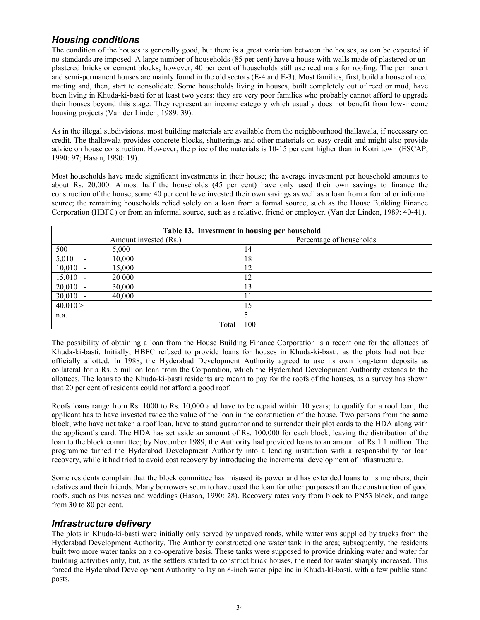## *Housing conditions*

The condition of the houses is generally good, but there is a great variation between the houses, as can be expected if no standards are imposed. A large number of households (85 per cent) have a house with walls made of plastered or unplastered bricks or cement blocks; however, 40 per cent of households still use reed mats for roofing. The permanent and semi-permanent houses are mainly found in the old sectors (E-4 and E-3). Most families, first, build a house of reed matting and, then, start to consolidate. Some households living in houses, built completely out of reed or mud, have been living in Khuda-ki-basti for at least two years: they are very poor families who probably cannot afford to upgrade their houses beyond this stage. They represent an income category which usually does not benefit from low-income housing projects (Van der Linden, 1989: 39).

As in the illegal subdivisions, most building materials are available from the neighbourhood thallawala, if necessary on credit. The thallawala provides concrete blocks, shutterings and other materials on easy credit and might also provide advice on house construction. However, the price of the materials is 10-15 per cent higher than in Kotri town (ESCAP, 1990: 97; Hasan, 1990: 19).

Most households have made significant investments in their house; the average investment per household amounts to about Rs. 20,000. Almost half the households (45 per cent) have only used their own savings to finance the construction of the house; some 40 per cent have invested their own savings as well as a loan from a formal or informal source; the remaining households relied solely on a loan from a formal source, such as the House Building Finance Corporation (HBFC) or from an informal source, such as a relative, friend or employer. (Van der Linden, 1989: 40-41).

| Table 13. Investment in housing per household |                          |                       |                          |
|-----------------------------------------------|--------------------------|-----------------------|--------------------------|
|                                               |                          | Amount invested (Rs.) | Percentage of households |
| 500                                           |                          | 5,000                 | 14                       |
| 5,010                                         | $\overline{\phantom{a}}$ | 10,000                | 18                       |
| $10,010 -$                                    |                          | 15,000                | 12                       |
| $15,010 -$                                    |                          | 20 000                | 12                       |
| $20,010 -$                                    |                          | 30,000                | 13                       |
| $30,010 -$                                    |                          | 40,000                |                          |
| 40,010 >                                      |                          |                       | 15                       |
| n.a.                                          |                          |                       |                          |
|                                               |                          | Total                 | 100                      |

The possibility of obtaining a loan from the House Building Finance Corporation is a recent one for the allottees of Khuda-ki-basti. Initially, HBFC refused to provide loans for houses in Khuda-ki-basti, as the plots had not been officially allotted. In 1988, the Hyderabad Development Authority agreed to use its own long-term deposits as collateral for a Rs. 5 million loan from the Corporation, which the Hyderabad Development Authority extends to the allottees. The loans to the Khuda-ki-basti residents are meant to pay for the roofs of the houses, as a survey has shown that 20 per cent of residents could not afford a good roof.

Roofs loans range from Rs. 1000 to Rs. 10,000 and have to be repaid within 10 years; to qualify for a roof loan, the applicant has to have invested twice the value of the loan in the construction of the house. Two persons from the same block, who have not taken a roof loan, have to stand guarantor and to surrender their plot cards to the HDA along with the applicant's card. The HDA has set aside an amount of Rs. 100,000 for each block, leaving the distribution of the loan to the block committee; by November 1989, the Authority had provided loans to an amount of Rs 1.1 million. The programme turned the Hyderabad Development Authority into a lending institution with a responsibility for loan recovery, while it had tried to avoid cost recovery by introducing the incremental development of infrastructure.

Some residents complain that the block committee has misused its power and has extended loans to its members, their relatives and their friends. Many borrowers seem to have used the loan for other purposes than the construction of good roofs, such as businesses and weddings (Hasan, 1990: 28). Recovery rates vary from block to PN53 block, and range from 30 to 80 per cent.

### *Infrastructure delivery*

The plots in Khuda-ki-basti were initially only served by unpaved roads, while water was supplied by trucks from the Hyderabad Development Authority. The Authority constructed one water tank in the area; subsequently, the residents built two more water tanks on a co-operative basis. These tanks were supposed to provide drinking water and water for building activities only, but, as the settlers started to construct brick houses, the need for water sharply increased. This forced the Hyderabad Development Authority to lay an 8-inch water pipeline in Khuda-ki-basti, with a few public stand posts.